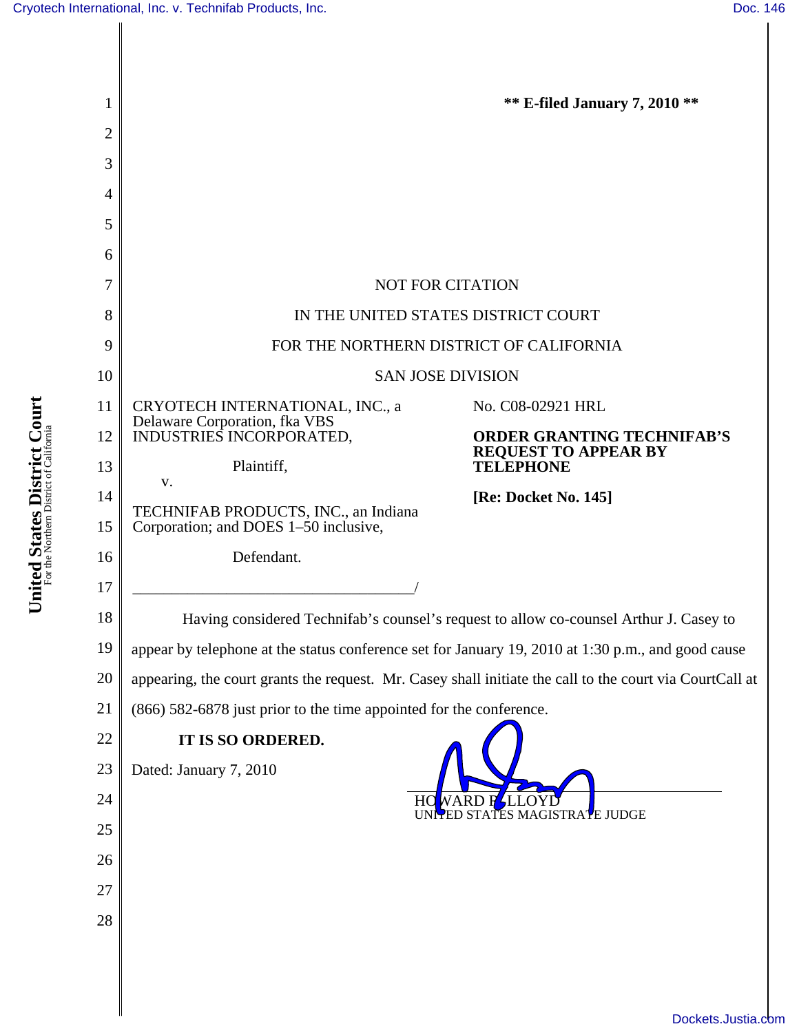**United States District Court** For the Northern District of California

United States District Court

| 1        |                                                                                                                                                                                 | <b>** E-filed January 7, 2010 **</b> |  |
|----------|---------------------------------------------------------------------------------------------------------------------------------------------------------------------------------|--------------------------------------|--|
| 2        |                                                                                                                                                                                 |                                      |  |
| 3        |                                                                                                                                                                                 |                                      |  |
| 4<br>5   |                                                                                                                                                                                 |                                      |  |
| 6        |                                                                                                                                                                                 |                                      |  |
| 7        | <b>NOT FOR CITATION</b>                                                                                                                                                         |                                      |  |
| 8        | IN THE UNITED STATES DISTRICT COURT                                                                                                                                             |                                      |  |
| 9        | FOR THE NORTHERN DISTRICT OF CALIFORNIA                                                                                                                                         |                                      |  |
| 10       | <b>SAN JOSE DIVISION</b>                                                                                                                                                        |                                      |  |
| 11       | CRYOTECH INTERNATIONAL, INC., a                                                                                                                                                 | No. C08-02921 HRL                    |  |
| 12       | Delaware Corporation, fka VBS<br>INDUSTRIES INCORPORATED,                                                                                                                       | <b>ORDER GRANTING TECHNIFAB'S</b>    |  |
| 13       | Plaintiff,<br>V.                                                                                                                                                                | REQUEST TO APPEAR BY<br>TELEPHONE    |  |
| 14       | TECHNIFAB PRODUCTS, INC., an Indiana                                                                                                                                            | [Re: Docket No. 145]                 |  |
| 15       | Corporation; and DOES 1-50 inclusive,                                                                                                                                           |                                      |  |
| 16       | Defendant.                                                                                                                                                                      |                                      |  |
| 17       |                                                                                                                                                                                 |                                      |  |
| 18<br>19 | Having considered Technifab's counsel's request to allow co-counsel Arthur J. Casey to                                                                                          |                                      |  |
| 20       | appear by telephone at the status conference set for January 19, 2010 at 1:30 p.m., and good cause                                                                              |                                      |  |
| 21       | appearing, the court grants the request. Mr. Casey shall initiate the call to the court via CourtCall at<br>(866) 582-6878 just prior to the time appointed for the conference. |                                      |  |
| 22       | IT IS SO ORDERED.                                                                                                                                                               |                                      |  |
| 23       | Dated: January 7, 2010<br>H)                                                                                                                                                    |                                      |  |
| 24       |                                                                                                                                                                                 |                                      |  |
| 25       |                                                                                                                                                                                 | GISTRATE JUDGE                       |  |
| 26       |                                                                                                                                                                                 |                                      |  |
| 27       |                                                                                                                                                                                 |                                      |  |
| 28       |                                                                                                                                                                                 |                                      |  |
|          |                                                                                                                                                                                 |                                      |  |
|          |                                                                                                                                                                                 |                                      |  |
|          |                                                                                                                                                                                 | Dockets.Justia.com                   |  |